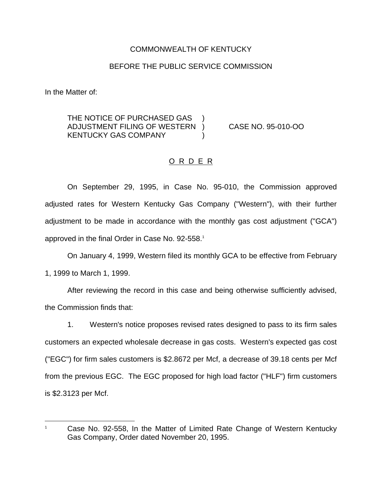## COMMONWEALTH OF KENTUCKY

### BEFORE THE PUBLIC SERVICE COMMISSION

In the Matter of:

THE NOTICE OF PURCHASED GAS ADJUSTMENT FILING OF WESTERN ) CASE NO. 95-010-OO KENTUCKY GAS COMPANY (1998)

### O R D E R

On September 29, 1995, in Case No. 95-010, the Commission approved adjusted rates for Western Kentucky Gas Company ("Western"), with their further adjustment to be made in accordance with the monthly gas cost adjustment ("GCA") approved in the final Order in Case No. 92-558.<sup>1</sup>

On January 4, 1999, Western filed its monthly GCA to be effective from February 1, 1999 to March 1, 1999.

After reviewing the record in this case and being otherwise sufficiently advised, the Commission finds that:

1. Western's notice proposes revised rates designed to pass to its firm sales customers an expected wholesale decrease in gas costs. Western's expected gas cost ("EGC") for firm sales customers is \$2.8672 per Mcf, a decrease of 39.18 cents per Mcf from the previous EGC. The EGC proposed for high load factor ("HLF") firm customers is \$2.3123 per Mcf.

<sup>&</sup>lt;sup>1</sup> Case No. 92-558, In the Matter of Limited Rate Change of Western Kentucky Gas Company, Order dated November 20, 1995.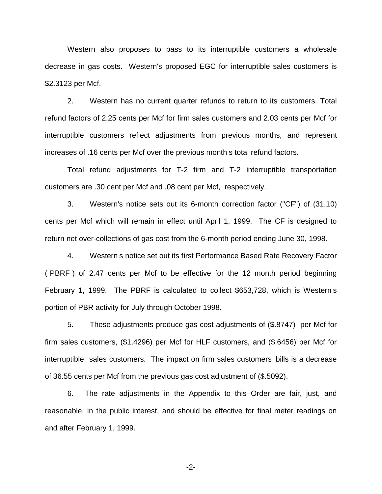Western also proposes to pass to its interruptible customers a wholesale decrease in gas costs. Western's proposed EGC for interruptible sales customers is \$2.3123 per Mcf.

2. Western has no current quarter refunds to return to its customers. Total refund factors of 2.25 cents per Mcf for firm sales customers and 2.03 cents per Mcf for interruptible customers reflect adjustments from previous months, and represent increases of .16 cents per Mcf over the previous month s total refund factors.

Total refund adjustments for T-2 firm and T-2 interruptible transportation customers are .30 cent per Mcf and .08 cent per Mcf, respectively.

3. Western's notice sets out its 6-month correction factor ("CF") of (31.10) cents per Mcf which will remain in effect until April 1, 1999. The CF is designed to return net over-collections of gas cost from the 6-month period ending June 30, 1998.

4. Western s notice set out its first Performance Based Rate Recovery Factor ( PBRF ) of 2.47 cents per Mcf to be effective for the 12 month period beginning February 1, 1999. The PBRF is calculated to collect \$653,728, which is Western s portion of PBR activity for July through October 1998.

5. These adjustments produce gas cost adjustments of (\$.8747) per Mcf for firm sales customers, (\$1.4296) per Mcf for HLF customers, and (\$.6456) per Mcf for interruptible sales customers. The impact on firm sales customers bills is a decrease of 36.55 cents per Mcf from the previous gas cost adjustment of (\$.5092).

6. The rate adjustments in the Appendix to this Order are fair, just, and reasonable, in the public interest, and should be effective for final meter readings on and after February 1, 1999.

-2-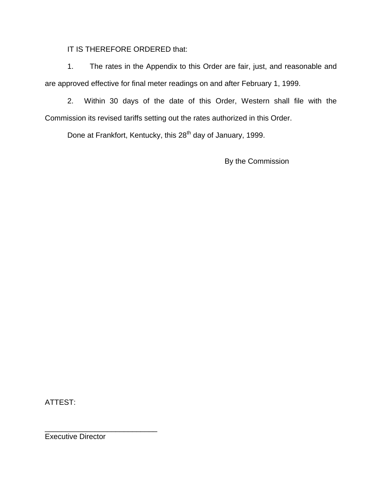IT IS THEREFORE ORDERED that:

1. The rates in the Appendix to this Order are fair, just, and reasonable and are approved effective for final meter readings on and after February 1, 1999.

2. Within 30 days of the date of this Order, Western shall file with the Commission its revised tariffs setting out the rates authorized in this Order.

Done at Frankfort, Kentucky, this 28<sup>th</sup> day of January, 1999.

By the Commission

ATTEST:

Executive Director

\_\_\_\_\_\_\_\_\_\_\_\_\_\_\_\_\_\_\_\_\_\_\_\_\_\_\_